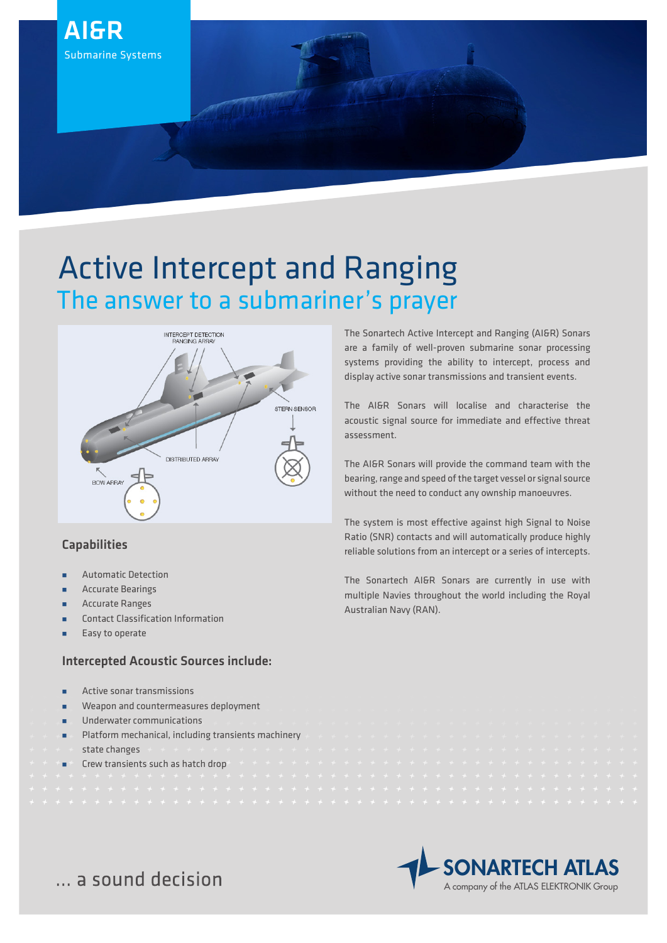

# Active Intercept and Ranging The answer to a submariner's prayer



# Capabilities

- Automatic Detection
- Accurate Bearings
- Accurate Ranges
- Contact Classification Information
- Easy to operate

# Intercepted Acoustic Sources include:

- Active sonar transmissions
- Weapon and countermeasures deployment
- **u** Underwater communications
- Platform mechanical, including transients machinery state changes Crew transients such as hatch drop
- 

The Sonartech Active Intercept and Ranging (AI&R) Sonars are a family of well-proven submarine sonar processing systems providing the ability to intercept, process and display active sonar transmissions and transient events.

The AI&R Sonars will localise and characterise the acoustic signal source for immediate and effective threat assessment.

The AI&R Sonars will provide the command team with the bearing, range and speed of the target vessel or signal source without the need to conduct any ownship manoeuvres.

The system is most effective against high Signal to Noise Ratio (SNR) contacts and will automatically produce highly reliable solutions from an intercept or a series of intercepts.

The Sonartech AI&R Sonars are currently in use with multiple Navies throughout the world including the Royal Australian Navy (RAN).



... a sound decision